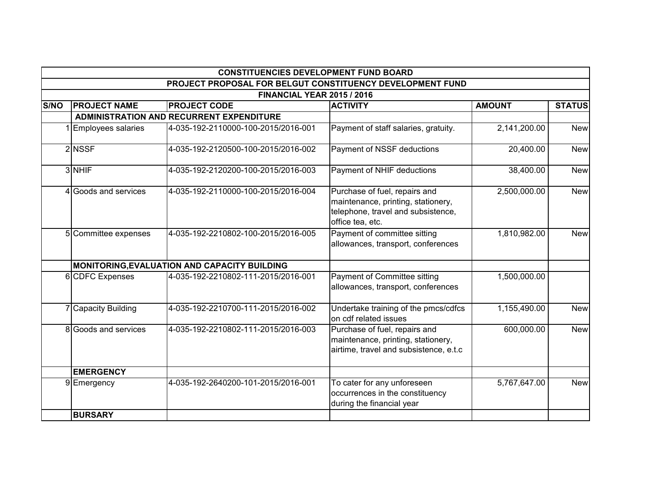|             |                                                                                                | <b>CONSTITUENCIES DEVELOPMENT FUND BOARD</b>    |                                                                                                                               |               |               |  |  |  |
|-------------|------------------------------------------------------------------------------------------------|-------------------------------------------------|-------------------------------------------------------------------------------------------------------------------------------|---------------|---------------|--|--|--|
|             | PROJECT PROPOSAL FOR BELGUT CONSTITUENCY DEVELOPMENT FUND<br><b>FINANCIAL YEAR 2015 / 2016</b> |                                                 |                                                                                                                               |               |               |  |  |  |
|             |                                                                                                |                                                 |                                                                                                                               |               |               |  |  |  |
| <b>S/NO</b> | <b>PROJECT NAME</b>                                                                            | <b>PROJECT CODE</b>                             | <b>ACTIVITY</b>                                                                                                               | <b>AMOUNT</b> | <b>STATUS</b> |  |  |  |
|             |                                                                                                | <b>ADMINISTRATION AND RECURRENT EXPENDITURE</b> |                                                                                                                               |               |               |  |  |  |
|             | 1 Employees salaries                                                                           | 4-035-192-2110000-100-2015/2016-001             | Payment of staff salaries, gratuity.                                                                                          | 2,141,200.00  | <b>New</b>    |  |  |  |
|             | 2 NSSF                                                                                         | 4-035-192-2120500-100-2015/2016-002             | Payment of NSSF deductions                                                                                                    | 20,400.00     | <b>New</b>    |  |  |  |
|             | 3 NHIF                                                                                         | 4-035-192-2120200-100-2015/2016-003             | Payment of NHIF deductions                                                                                                    | 38,400.00     | <b>New</b>    |  |  |  |
|             | 4 Goods and services                                                                           | 4-035-192-2110000-100-2015/2016-004             | Purchase of fuel, repairs and<br>maintenance, printing, stationery,<br>telephone, travel and subsistence,<br>office tea, etc. | 2,500,000.00  | <b>New</b>    |  |  |  |
|             | 5 Committee expenses                                                                           | 4-035-192-2210802-100-2015/2016-005             | Payment of committee sitting<br>allowances, transport, conferences                                                            | 1,810,982.00  | <b>New</b>    |  |  |  |
|             |                                                                                                | MONITORING, EVALUATION AND CAPACITY BUILDING    |                                                                                                                               |               |               |  |  |  |
|             | 6 CDFC Expenses                                                                                | 4-035-192-2210802-111-2015/2016-001             | <b>Payment of Committee sitting</b><br>allowances, transport, conferences                                                     | 1,500,000.00  |               |  |  |  |
|             | 7 Capacity Building                                                                            | 4-035-192-2210700-111-2015/2016-002             | Undertake training of the pmcs/cdfcs<br>on cdf related issues                                                                 | 1,155,490.00  | <b>New</b>    |  |  |  |
|             | 8 Goods and services                                                                           | 4-035-192-2210802-111-2015/2016-003             | Purchase of fuel, repairs and<br>maintenance, printing, stationery,<br>airtime, travel and subsistence, e.t.c                 | 600,000.00    | <b>New</b>    |  |  |  |
|             | <b>EMERGENCY</b>                                                                               |                                                 |                                                                                                                               |               |               |  |  |  |
|             | 9Emergency                                                                                     | 4-035-192-2640200-101-2015/2016-001             | To cater for any unforeseen<br>occurrences in the constituency<br>during the financial year                                   | 5,767,647.00  | <b>New</b>    |  |  |  |
|             | <b>BURSARY</b>                                                                                 |                                                 |                                                                                                                               |               |               |  |  |  |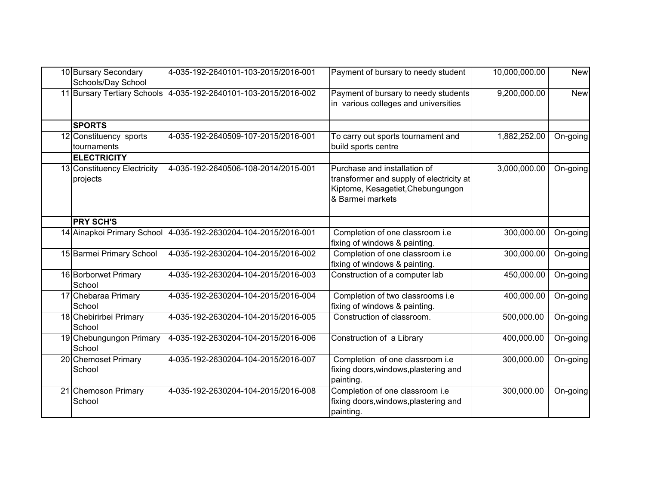| 10 Bursary Secondary<br>Schools/Day School | 4-035-192-2640101-103-2015/2016-001 | Payment of bursary to needy student                                                                                               | 10,000,000.00 | <b>New</b>             |
|--------------------------------------------|-------------------------------------|-----------------------------------------------------------------------------------------------------------------------------------|---------------|------------------------|
| 11 Bursary Tertiary Schools                | 4-035-192-2640101-103-2015/2016-002 | Payment of bursary to needy students<br>in various colleges and universities                                                      | 9,200,000.00  | <b>New</b>             |
| <b>SPORTS</b>                              |                                     |                                                                                                                                   |               |                        |
| 12 Constituency sports<br>tournaments      | 4-035-192-2640509-107-2015/2016-001 | To carry out sports tournament and<br>build sports centre                                                                         | 1,882,252.00  | On-going               |
| <b>ELECTRICITY</b>                         |                                     |                                                                                                                                   |               |                        |
| 13 Constituency Electricity<br>projects    | 4-035-192-2640506-108-2014/2015-001 | Purchase and installation of<br>transformer and supply of electricity at<br>Kiptome, Kesagetiet, Chebungungon<br>& Barmei markets | 3,000,000.00  | On-going               |
| <b>PRY SCH'S</b>                           |                                     |                                                                                                                                   |               |                        |
| 14 Ainapkoi Primary School                 | 4-035-192-2630204-104-2015/2016-001 | Completion of one classroom i.e<br>fixing of windows & painting.                                                                  | 300,000.00    | On-going               |
| 15 Barmei Primary School                   | 4-035-192-2630204-104-2015/2016-002 | Completion of one classroom i.e<br>fixing of windows & painting.                                                                  | 300,000.00    | On-going               |
| 16 Borborwet Primary<br>School             | 4-035-192-2630204-104-2015/2016-003 | Construction of a computer lab                                                                                                    | 450,000.00    | On-going               |
| 17 Chebaraa Primary<br>School              | 4-035-192-2630204-104-2015/2016-004 | Completion of two classrooms i.e<br>fixing of windows & painting.                                                                 | 400,000.00    | $\overline{On}$ -going |
| 18 Chebirirbei Primary<br>School           | 4-035-192-2630204-104-2015/2016-005 | Construction of classroom.                                                                                                        | 500,000.00    | On-going               |
| 19 Chebungungon Primary<br>School          | 4-035-192-2630204-104-2015/2016-006 | Construction of a Library                                                                                                         | 400,000.00    | On-going               |
| 20 Chemoset Primary<br>School              | 4-035-192-2630204-104-2015/2016-007 | Completion of one classroom i.e<br>fixing doors, windows, plastering and<br>painting.                                             | 300,000.00    | On-going               |
| 21 Chemoson Primary<br>School              | 4-035-192-2630204-104-2015/2016-008 | Completion of one classroom i.e<br>fixing doors, windows, plastering and<br>painting.                                             | 300,000.00    | On-going               |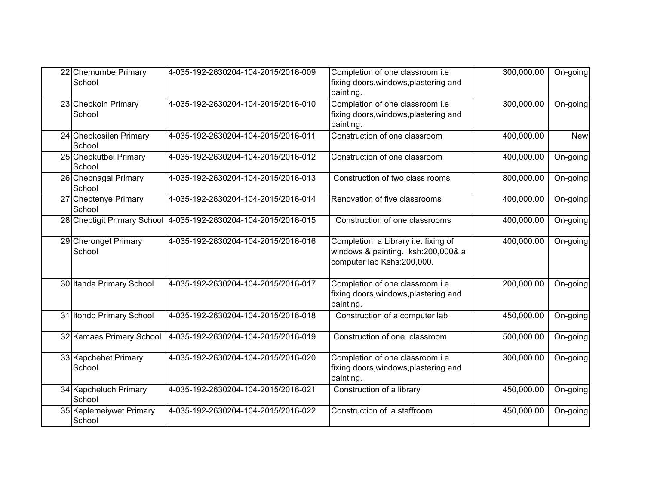| 22 Chemumbe Primary<br>School     | 4-035-192-2630204-104-2015/2016-009                             | Completion of one classroom i.e<br>fixing doors, windows, plastering and<br>painting.                   | 300,000.00 | On-going   |
|-----------------------------------|-----------------------------------------------------------------|---------------------------------------------------------------------------------------------------------|------------|------------|
| 23 Chepkoin Primary<br>School     | 4-035-192-2630204-104-2015/2016-010                             | Completion of one classroom i.e<br>fixing doors, windows, plastering and<br>painting.                   | 300,000.00 | On-going   |
| 24 Chepkosilen Primary<br>School  | 4-035-192-2630204-104-2015/2016-011                             | Construction of one classroom                                                                           | 400,000.00 | <b>New</b> |
| 25 Chepkutbei Primary<br>School   | 4-035-192-2630204-104-2015/2016-012                             | Construction of one classroom                                                                           | 400,000.00 | On-going   |
| 26 Chepnagai Primary<br>School    | 4-035-192-2630204-104-2015/2016-013                             | Construction of two class rooms                                                                         | 800,000.00 | On-going   |
| 27 Cheptenye Primary<br>School    | 4-035-192-2630204-104-2015/2016-014                             | Renovation of five classrooms                                                                           | 400,000.00 | On-going   |
|                                   | 28 Cheptigit Primary School 4-035-192-2630204-104-2015/2016-015 | Construction of one classrooms                                                                          | 400,000.00 | On-going   |
| 29 Cheronget Primary<br>School    | 4-035-192-2630204-104-2015/2016-016                             | Completion a Library i.e. fixing of<br>windows & painting. ksh:200,000& a<br>computer lab Kshs:200,000. | 400,000.00 | On-going   |
| 30 Itanda Primary School          | 4-035-192-2630204-104-2015/2016-017                             | Completion of one classroom i.e<br>fixing doors, windows, plastering and<br>painting.                   | 200,000.00 | On-going   |
| 31 Itondo Primary School          | 4-035-192-2630204-104-2015/2016-018                             | Construction of a computer lab                                                                          | 450,000.00 | On-going   |
| 32 Kamaas Primary School          | 4-035-192-2630204-104-2015/2016-019                             | Construction of one classroom                                                                           | 500,000.00 | On-going   |
| 33 Kapchebet Primary<br>School    | 4-035-192-2630204-104-2015/2016-020                             | Completion of one classroom i.e<br>fixing doors, windows, plastering and<br>painting.                   | 300,000.00 | On-going   |
| 34 Kapcheluch Primary<br>School   | 4-035-192-2630204-104-2015/2016-021                             | Construction of a library                                                                               | 450,000.00 | On-going   |
| 35 Kaplemeiywet Primary<br>School | 4-035-192-2630204-104-2015/2016-022                             | Construction of a staffroom                                                                             | 450,000.00 | On-going   |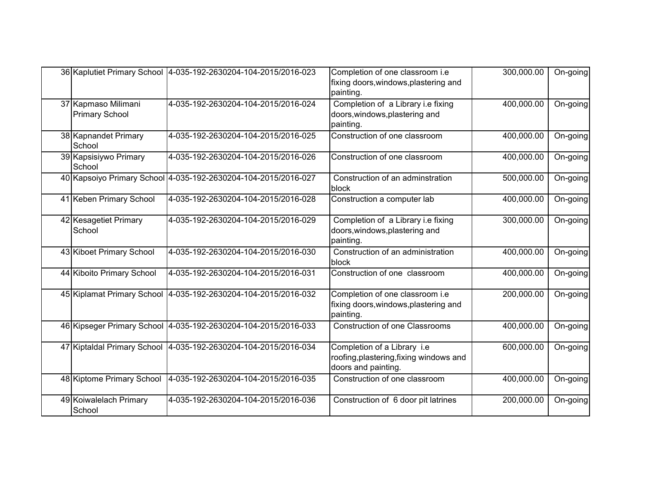|                                              | 36 Kaplutiet Primary School 4-035-192-2630204-104-2015/2016-023 | Completion of one classroom i.e<br>fixing doors, windows, plastering and<br>painting.         | 300,000.00 | On-going |
|----------------------------------------------|-----------------------------------------------------------------|-----------------------------------------------------------------------------------------------|------------|----------|
| 37 Kapmaso Milimani<br><b>Primary School</b> | 4-035-192-2630204-104-2015/2016-024                             | Completion of a Library i.e fixing<br>doors, windows, plastering and<br>painting.             | 400,000.00 | On-going |
| 38 Kapnandet Primary<br>School               | 4-035-192-2630204-104-2015/2016-025                             | Construction of one classroom                                                                 | 400,000.00 | On-going |
| 39 Kapsisiywo Primary<br>School              | 4-035-192-2630204-104-2015/2016-026                             | Construction of one classroom                                                                 | 400,000.00 | On-going |
|                                              | 40 Kapsoiyo Primary School 4-035-192-2630204-104-2015/2016-027  | Construction of an adminstration<br>block                                                     | 500,000.00 | On-going |
| 41 Keben Primary School                      | 4-035-192-2630204-104-2015/2016-028                             | Construction a computer lab                                                                   | 400,000.00 | On-going |
| 42 Kesagetiet Primary<br>School              | 4-035-192-2630204-104-2015/2016-029                             | Completion of a Library i.e fixing<br>doors, windows, plastering and<br>painting.             | 300,000.00 | On-going |
| 43 Kiboet Primary School                     | 4-035-192-2630204-104-2015/2016-030                             | Construction of an administration<br>block                                                    | 400,000.00 | On-going |
| 44 Kiboito Primary School                    | 4-035-192-2630204-104-2015/2016-031                             | Construction of one classroom                                                                 | 400,000.00 | On-going |
|                                              | 45 Kiplamat Primary School 4-035-192-2630204-104-2015/2016-032  | Completion of one classroom i.e<br>fixing doors, windows, plastering and<br>painting.         | 200,000.00 | On-going |
|                                              | 46 Kipseger Primary School 4-035-192-2630204-104-2015/2016-033  | <b>Construction of one Classrooms</b>                                                         | 400,000.00 | On-going |
| 47 Kiptaldal Primary School                  | 4-035-192-2630204-104-2015/2016-034                             | Completion of a Library i.e<br>roofing, plastering, fixing windows and<br>doors and painting. | 600,000.00 | On-going |
| 48 Kiptome Primary School                    | 4-035-192-2630204-104-2015/2016-035                             | Construction of one classroom                                                                 | 400,000.00 | On-going |
| 49 Koiwalelach Primary<br>School             | 4-035-192-2630204-104-2015/2016-036                             | Construction of 6 door pit latrines                                                           | 200,000.00 | On-going |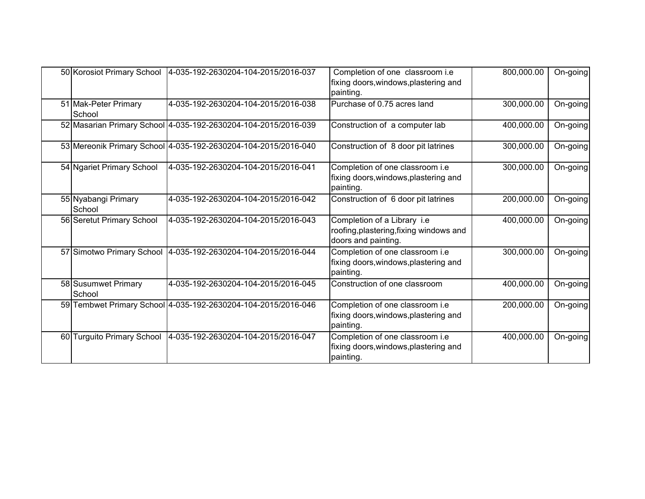| 50 Korosiot Primary School     | 4-035-192-2630204-104-2015/2016-037                             | Completion of one classroom i.e<br>fixing doors, windows, plastering and<br>painting.         | 800,000.00 | On-going    |
|--------------------------------|-----------------------------------------------------------------|-----------------------------------------------------------------------------------------------|------------|-------------|
| 51 Mak-Peter Primary<br>School | 4-035-192-2630204-104-2015/2016-038                             | Purchase of 0.75 acres land                                                                   | 300,000.00 | On-going    |
|                                | 52 Masarian Primary School 4-035-192-2630204-104-2015/2016-039  | Construction of a computer lab                                                                | 400,000.00 | $On-goingl$ |
|                                | 53 Mereonik Primary School 4-035-192-2630204-104-2015/2016-040  | Construction of 8 door pit latrines                                                           | 300,000.00 | On-going    |
| 54 Ngariet Primary School      | 4-035-192-2630204-104-2015/2016-041                             | Completion of one classroom i.e<br>fixing doors, windows, plastering and<br>painting.         | 300,000.00 | On-going    |
| 55 Nyabangi Primary<br>School  | 4-035-192-2630204-104-2015/2016-042                             | Construction of 6 door pit latrines                                                           | 200,000.00 | On-going    |
| 56 Seretut Primary School      | 4-035-192-2630204-104-2015/2016-043                             | Completion of a Library i.e<br>roofing, plastering, fixing windows and<br>doors and painting. | 400,000.00 | On-going    |
|                                | 57 Simotwo Primary School   4-035-192-2630204-104-2015/2016-044 | Completion of one classroom i.e<br>fixing doors, windows, plastering and<br>painting.         | 300,000.00 | $On-goingl$ |
| 58 Susumwet Primary<br>School  | 4-035-192-2630204-104-2015/2016-045                             | Construction of one classroom                                                                 | 400,000.00 | On-going    |
|                                | 59 Tembwet Primary School 4-035-192-2630204-104-2015/2016-046   | Completion of one classroom i.e<br>fixing doors, windows, plastering and<br>painting.         | 200,000.00 | On-going    |
| 60 Turguito Primary School     | 4-035-192-2630204-104-2015/2016-047                             | Completion of one classroom i.e<br>fixing doors, windows, plastering and<br>painting.         | 400,000.00 | On-going    |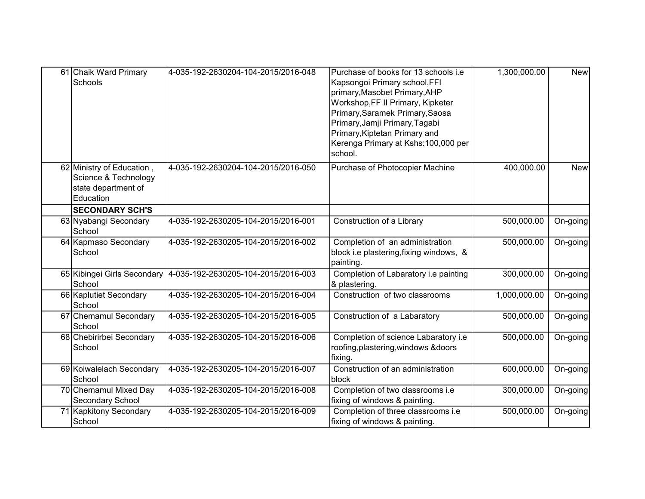| 61 Chaik Ward Primary<br>Schools                                                      | 4-035-192-2630204-104-2015/2016-048 | Purchase of books for 13 schools i.e<br>Kapsongoi Primary school, FFI<br>primary, Masobet Primary, AHP<br>Workshop, FF II Primary, Kipketer<br>Primary, Saramek Primary, Saosa<br>Primary, Jamji Primary, Tagabi<br>Primary, Kiptetan Primary and<br>Kerenga Primary at Kshs:100,000 per<br>school. | 1,300,000.00 | <b>New</b> |
|---------------------------------------------------------------------------------------|-------------------------------------|-----------------------------------------------------------------------------------------------------------------------------------------------------------------------------------------------------------------------------------------------------------------------------------------------------|--------------|------------|
| 62 Ministry of Education,<br>Science & Technology<br>state department of<br>Education | 4-035-192-2630204-104-2015/2016-050 | Purchase of Photocopier Machine                                                                                                                                                                                                                                                                     | 400,000.00   | <b>New</b> |
| <b>SECONDARY SCH'S</b>                                                                |                                     |                                                                                                                                                                                                                                                                                                     |              |            |
| 63 Nyabangi Secondary<br>School                                                       | 4-035-192-2630205-104-2015/2016-001 | Construction of a Library                                                                                                                                                                                                                                                                           | 500,000.00   | On-going   |
| 64 Kapmaso Secondary<br>School                                                        | 4-035-192-2630205-104-2015/2016-002 | Completion of an administration<br>block i.e plastering, fixing windows, &<br>painting.                                                                                                                                                                                                             | 500,000.00   | On-going   |
| 65 Kibingei Girls Secondary<br>School                                                 | 4-035-192-2630205-104-2015/2016-003 | Completion of Labaratory i.e painting<br>& plastering.                                                                                                                                                                                                                                              | 300,000.00   | On-going   |
| 66 Kaplutiet Secondary<br>School                                                      | 4-035-192-2630205-104-2015/2016-004 | Construction of two classrooms                                                                                                                                                                                                                                                                      | 1,000,000.00 | On-going   |
| 67 Chemamul Secondary<br>School                                                       | 4-035-192-2630205-104-2015/2016-005 | Construction of a Labaratory                                                                                                                                                                                                                                                                        | 500,000.00   | On-going   |
| 68 Chebirirbei Secondary<br>School                                                    | 4-035-192-2630205-104-2015/2016-006 | Completion of science Labaratory i.e<br>roofing, plastering, windows & doors<br>fixing.                                                                                                                                                                                                             | 500,000.00   | On-going   |
| 69 Koiwalelach Secondary<br>School                                                    | 4-035-192-2630205-104-2015/2016-007 | Construction of an administration<br>block                                                                                                                                                                                                                                                          | 600,000.00   | On-going   |
| 70 Chemamul Mixed Day<br>Secondary School                                             | 4-035-192-2630205-104-2015/2016-008 | Completion of two classrooms i.e<br>fixing of windows & painting.                                                                                                                                                                                                                                   | 300,000.00   | On-going   |
| 71 Kapkitony Secondary<br>School                                                      | 4-035-192-2630205-104-2015/2016-009 | Completion of three classrooms i.e<br>fixing of windows & painting.                                                                                                                                                                                                                                 | 500,000.00   | On-going   |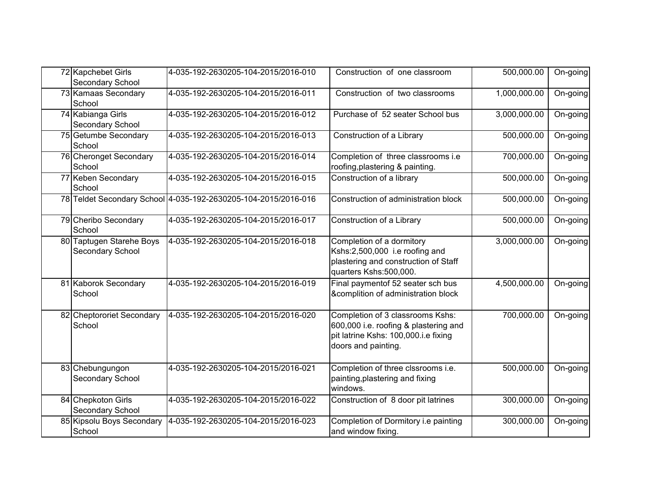| 72 Kapchebet Girls<br>Secondary School       | 4-035-192-2630205-104-2015/2016-010                            | Construction of one classroom                                                                                                            | 500,000.00   | On-going |
|----------------------------------------------|----------------------------------------------------------------|------------------------------------------------------------------------------------------------------------------------------------------|--------------|----------|
| 73 Kamaas Secondary<br>School                | 4-035-192-2630205-104-2015/2016-011                            | Construction of two classrooms                                                                                                           | 1,000,000.00 | On-going |
| 74 Kabianga Girls<br>Secondary School        | 4-035-192-2630205-104-2015/2016-012                            | Purchase of 52 seater School bus                                                                                                         | 3,000,000.00 | On-going |
| 75 Getumbe Secondary<br>School               | 4-035-192-2630205-104-2015/2016-013                            | Construction of a Library                                                                                                                | 500,000.00   | On-going |
| 76 Cheronget Secondary<br>School             | 4-035-192-2630205-104-2015/2016-014                            | Completion of three classrooms i.e<br>roofing, plastering & painting.                                                                    | 700,000.00   | On-going |
| 77 Keben Secondary<br>School                 | 4-035-192-2630205-104-2015/2016-015                            | Construction of a library                                                                                                                | 500,000.00   | On-going |
|                                              | 78 Teldet Secondary School 4-035-192-2630205-104-2015/2016-016 | Construction of administration block                                                                                                     | 500,000.00   | On-going |
| 79 Cheribo Secondary<br>School               | 4-035-192-2630205-104-2015/2016-017                            | Construction of a Library                                                                                                                | 500,000.00   | On-going |
| 80 Taptugen Starehe Boys<br>Secondary School | 4-035-192-2630205-104-2015/2016-018                            | Completion of a dormitory<br>Kshs:2,500,000 i.e roofing and<br>plastering and construction of Staff<br>quarters Kshs:500,000.            | 3,000,000.00 | On-going |
| 81 Kaborok Secondary<br>School               | 4-035-192-2630205-104-2015/2016-019                            | Final paymentof 52 seater sch bus<br>&complition of administration block                                                                 | 4,500,000.00 | On-going |
| 82 Cheptororiet Secondary<br>School          | 4-035-192-2630205-104-2015/2016-020                            | Completion of 3 classrooms Kshs:<br>600,000 i.e. roofing & plastering and<br>pit latrine Kshs: 100,000.i.e fixing<br>doors and painting. | 700,000.00   | On-going |
| 83 Chebungungon<br>Secondary School          | 4-035-192-2630205-104-2015/2016-021                            | Completion of three clssrooms i.e.<br>painting, plastering and fixing<br>windows.                                                        | 500,000.00   | On-going |
| 84 Chepkoton Girls<br>Secondary School       | 4-035-192-2630205-104-2015/2016-022                            | Construction of 8 door pit latrines                                                                                                      | 300,000.00   | On-going |
| 85 Kipsolu Boys Secondary<br>School          | 4-035-192-2630205-104-2015/2016-023                            | Completion of Dormitory i.e painting<br>and window fixing.                                                                               | 300,000.00   | On-going |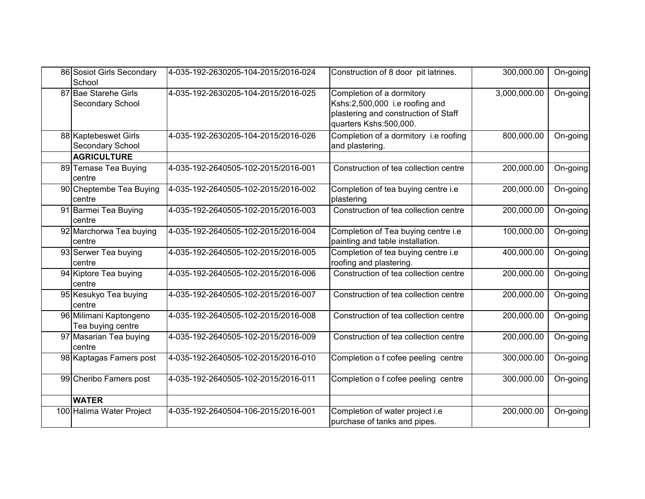| 86 Sosiot Girls Secondary<br>School         | 4-035-192-2630205-104-2015/2016-024 | Construction of 8 door pit latrines.                                                                                          | 300,000.00   | On-going    |
|---------------------------------------------|-------------------------------------|-------------------------------------------------------------------------------------------------------------------------------|--------------|-------------|
| 87 Bae Starehe Girls<br>Secondary School    | 4-035-192-2630205-104-2015/2016-025 | Completion of a dormitory<br>Kshs:2,500,000 i.e roofing and<br>plastering and construction of Staff<br>quarters Kshs:500,000. | 3,000,000.00 | $On-goingl$ |
| 88 Kaptebeswet Girls<br>Secondary School    | 4-035-192-2630205-104-2015/2016-026 | Completion of a dormitory i.e roofing<br>and plastering.                                                                      | 800,000.00   | On-going    |
| <b>AGRICULTURE</b>                          |                                     |                                                                                                                               |              |             |
| 89 Temase Tea Buying<br>centre              | 4-035-192-2640505-102-2015/2016-001 | Construction of tea collection centre                                                                                         | 200,000.00   | On-going    |
| 90 Cheptembe Tea Buying<br>centre           | 4-035-192-2640505-102-2015/2016-002 | Completion of tea buying centre i.e<br>plastering                                                                             | 200,000.00   | On-going    |
| 91 Barmei Tea Buying<br>centre              | 4-035-192-2640505-102-2015/2016-003 | Construction of tea collection centre                                                                                         | 200,000.00   | On-going    |
| 92 Marchorwa Tea buying<br>centre           | 4-035-192-2640505-102-2015/2016-004 | Completion of Tea buying centre i.e<br>painting and table installation.                                                       | 100,000.00   | On-going    |
| 93 Serwer Tea buying<br>centre              | 4-035-192-2640505-102-2015/2016-005 | Completion of tea buying centre i.e<br>roofing and plastering.                                                                | 400,000.00   | On-going    |
| 94 Kiptore Tea buying<br>centre             | 4-035-192-2640505-102-2015/2016-006 | Construction of tea collection centre                                                                                         | 200,000.00   | On-going    |
| 95 Kesukyo Tea buying<br>centre             | 4-035-192-2640505-102-2015/2016-007 | Construction of tea collection centre                                                                                         | 200,000.00   | On-going    |
| 96 Milimani Kaptongeno<br>Tea buying centre | 4-035-192-2640505-102-2015/2016-008 | Construction of tea collection centre                                                                                         | 200,000.00   | On-going    |
| 97 Masarian Tea buying<br>centre            | 4-035-192-2640505-102-2015/2016-009 | Construction of tea collection centre                                                                                         | 200,000.00   | On-going    |
| 98 Kaptagas Famers post                     | 4-035-192-2640505-102-2015/2016-010 | Completion o f cofee peeling centre                                                                                           | 300,000.00   | On-going    |
| 99 Cheribo Famers post                      | 4-035-192-2640505-102-2015/2016-011 | Completion o f cofee peeling centre                                                                                           | 300,000.00   | On-going    |
| <b>WATER</b>                                |                                     |                                                                                                                               |              |             |
| 100 Halima Water Project                    | 4-035-192-2640504-106-2015/2016-001 | Completion of water project i.e<br>purchase of tanks and pipes.                                                               | 200,000.00   | On-going    |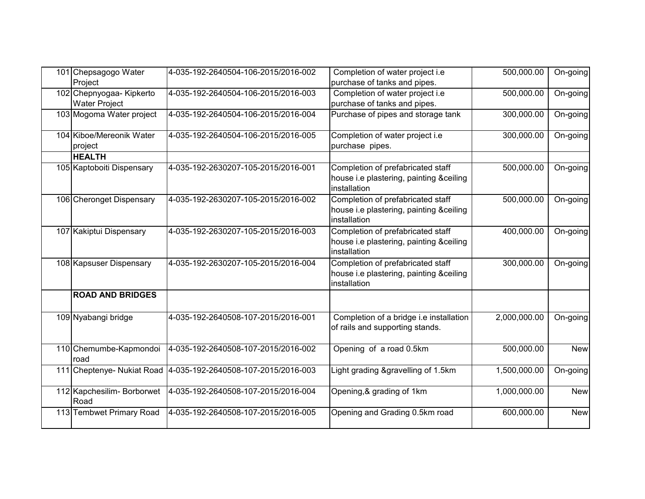| 101 Chepsagogo Water<br>Project                  | 4-035-192-2640504-106-2015/2016-002 | Completion of water project i.e<br>purchase of tanks and pipes.                              | 500,000.00   | On-going   |
|--------------------------------------------------|-------------------------------------|----------------------------------------------------------------------------------------------|--------------|------------|
| 102 Chepnyogaa- Kipkerto<br><b>Water Project</b> | 4-035-192-2640504-106-2015/2016-003 | Completion of water project i.e<br>purchase of tanks and pipes.                              | 500,000.00   | On-going   |
| 103 Mogoma Water project                         | 4-035-192-2640504-106-2015/2016-004 | Purchase of pipes and storage tank                                                           | 300,000.00   | On-going   |
| 104 Kiboe/Mereonik Water<br>project              | 4-035-192-2640504-106-2015/2016-005 | Completion of water project i.e<br>purchase pipes.                                           | 300,000.00   | On-going   |
| <b>HEALTH</b>                                    |                                     |                                                                                              |              |            |
| 105 Kaptoboiti Dispensary                        | 4-035-192-2630207-105-2015/2016-001 | Completion of prefabricated staff<br>house i.e plastering, painting &ceiling<br>installation | 500,000.00   | On-going   |
| 106 Cheronget Dispensary                         | 4-035-192-2630207-105-2015/2016-002 | Completion of prefabricated staff<br>house i.e plastering, painting &ceiling<br>installation | 500,000.00   | On-going   |
| 107 Kakiptui Dispensary                          | 4-035-192-2630207-105-2015/2016-003 | Completion of prefabricated staff<br>house i.e plastering, painting &ceiling<br>installation | 400,000.00   | On-going   |
| 108 Kapsuser Dispensary                          | 4-035-192-2630207-105-2015/2016-004 | Completion of prefabricated staff<br>house i.e plastering, painting &ceiling<br>installation | 300,000.00   | On-going   |
| <b>ROAD AND BRIDGES</b>                          |                                     |                                                                                              |              |            |
| 109 Nyabangi bridge                              | 4-035-192-2640508-107-2015/2016-001 | Completion of a bridge i.e installation<br>of rails and supporting stands.                   | 2,000,000.00 | On-going   |
| 110 Chemumbe-Kapmondoi<br>road                   | 4-035-192-2640508-107-2015/2016-002 | Opening of a road 0.5km                                                                      | 500,000.00   | <b>New</b> |
| 111 Cheptenye- Nukiat Road                       | 4-035-192-2640508-107-2015/2016-003 | Light grading &gravelling of 1.5km                                                           | 1,500,000.00 | On-going   |
| 112 Kapchesilim- Borborwet<br>Road               | 4-035-192-2640508-107-2015/2016-004 | Opening, & grading of 1km                                                                    | 1,000,000.00 | <b>New</b> |
| 113 Tembwet Primary Road                         | 4-035-192-2640508-107-2015/2016-005 | Opening and Grading 0.5km road                                                               | 600,000.00   | <b>New</b> |